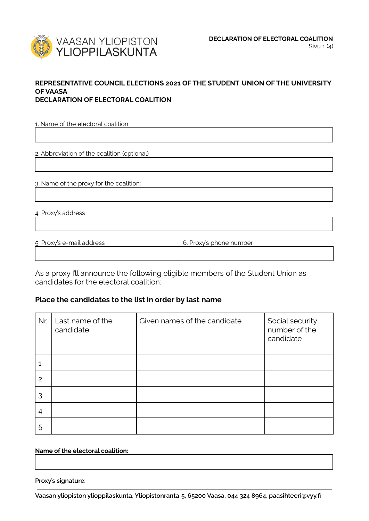

## **REPRESENTATIVE COUNCIL ELECTIONS 2021 OF THE STUDENT UNION OF THE UNIVERSITY OF VAASA DECLARATION OF ELECTORAL COALITION**

1. Name of the electoral coalition

2. Abbreviation of the coalition (optional)

3. Name of the proxy for the coalition:

4. Proxy's address

| 5. Proxy's e-mail address | 6. Proxy's phone number |
|---------------------------|-------------------------|
|                           |                         |

As a proxy I'll announce the following eligible members of the Student Union as candidates for the electoral coalition:

## **Place the candidates to the list in order by last name**

| Nr. | Last name of the<br>candidate | Given names of the candidate | Social security<br>number of the<br>candidate |
|-----|-------------------------------|------------------------------|-----------------------------------------------|
|     |                               |                              |                                               |
| 2   |                               |                              |                                               |
| 3   |                               |                              |                                               |
| 4   |                               |                              |                                               |
| 5   |                               |                              |                                               |

## **Name of the electoral coalition:**

**Proxy's signature:**

**Vaasan yliopiston ylioppilaskunta, Yliopistonranta 5, 65200 Vaasa, 044 324 8964, paasihteeri@vyy.fi**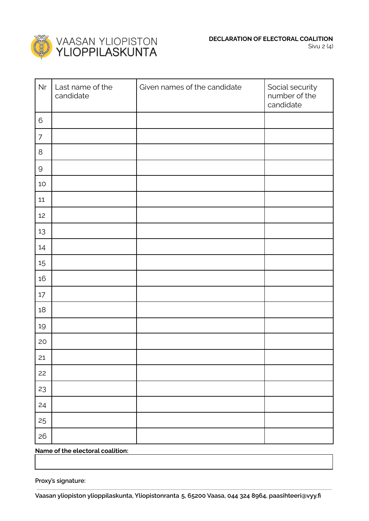

| Nr             | Last name of the<br>candidate | Given names of the candidate | Social security<br>number of the<br>candidate |
|----------------|-------------------------------|------------------------------|-----------------------------------------------|
| $\,$ 6         |                               |                              |                                               |
| $\overline{7}$ |                               |                              |                                               |
| $\,8\,$        |                               |                              |                                               |
| $\mathsf{Q}$   |                               |                              |                                               |
| $10$           |                               |                              |                                               |
| $11\,$         |                               |                              |                                               |
| 12             |                               |                              |                                               |
| 13             |                               |                              |                                               |
| 14             |                               |                              |                                               |
| 15             |                               |                              |                                               |
| 16             |                               |                              |                                               |
| $17\,$         |                               |                              |                                               |
| $18\,$         |                               |                              |                                               |
| 19             |                               |                              |                                               |
| 20             |                               |                              |                                               |
| 21             |                               |                              |                                               |
| 22             |                               |                              |                                               |
| 23             |                               |                              |                                               |
| 24             |                               |                              |                                               |
| 25             |                               |                              |                                               |
| 26             |                               |                              |                                               |

**Name of the electoral coalition:**

**Proxy's signature:**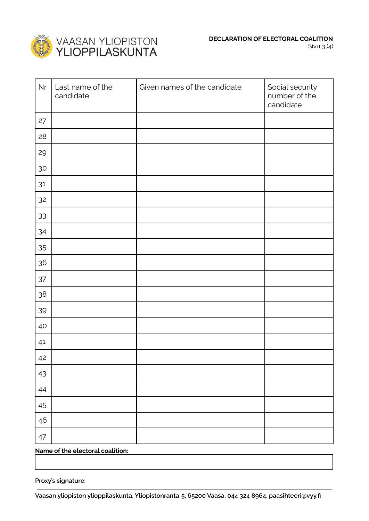

| Nr     | Last name of the<br>candidate | Given names of the candidate | Social security<br>number of the<br>candidate |
|--------|-------------------------------|------------------------------|-----------------------------------------------|
| 27     |                               |                              |                                               |
| 28     |                               |                              |                                               |
| 29     |                               |                              |                                               |
| $30\,$ |                               |                              |                                               |
| $31$   |                               |                              |                                               |
| 32     |                               |                              |                                               |
| 33     |                               |                              |                                               |
| 34     |                               |                              |                                               |
| 35     |                               |                              |                                               |
| $36\,$ |                               |                              |                                               |
| $37\,$ |                               |                              |                                               |
| $38\,$ |                               |                              |                                               |
| 39     |                               |                              |                                               |
| $40\,$ |                               |                              |                                               |
| 41     |                               |                              |                                               |
| 42     |                               |                              |                                               |
| 43     |                               |                              |                                               |
| 44     |                               |                              |                                               |
| 45     |                               |                              |                                               |
| 46     |                               |                              |                                               |
| 47     |                               |                              |                                               |

**Name of the electoral coalition:**

**Proxy's signature:**